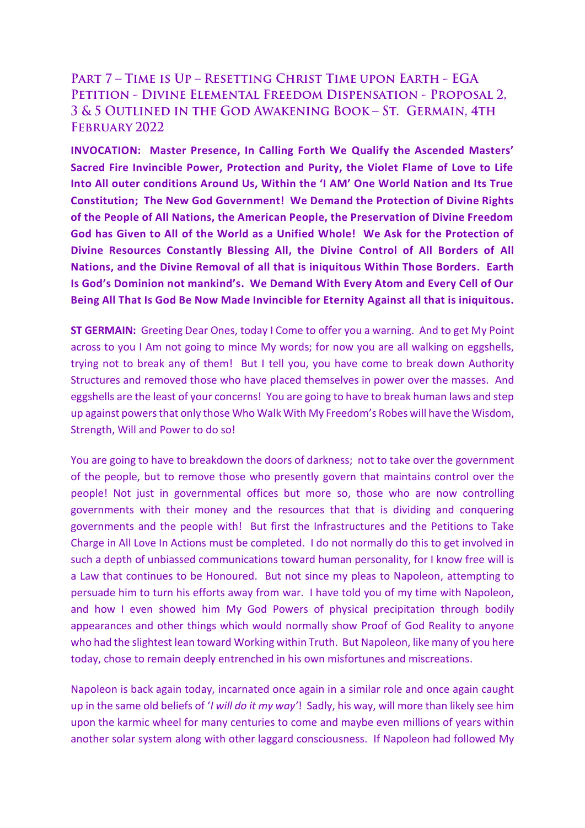## PART 7 - TIME IS UP - RESETTING CHRIST TIME UPON EARTH - EGA PETITION - DIVINE ELEMENTAL FREEDOM DISPENSATION - PROPOSAL 2, 3 & 5 OUTLINED IN THE GOD AWAKENING BOOK - ST. GERMAIN, 4TH FEBRUARY 2022

**INVOCATION: Master Presence, In Calling Forth We Qualify the Ascended Masters' Sacred Fire Invincible Power, Protection and Purity, the Violet Flame of Love to Life Into All outer conditions Around Us, Within the 'I AM' One World Nation and Its True Constitution; The New God Government! We Demand the Protection of Divine Rights of the People of All Nations, the American People, the Preservation of Divine Freedom God has Given to All of the World as a Unified Whole! We Ask for the Protection of Divine Resources Constantly Blessing All, the Divine Control of All Borders of All Nations, and the Divine Removal of all that is iniquitous Within Those Borders. Earth Is God's Dominion not mankind's. We Demand With Every Atom and Every Cell of Our Being All That Is God Be Now Made Invincible for Eternity Against all that is iniquitous.** 

**ST GERMAIN:** Greeting Dear Ones, today I Come to offer you a warning. And to get My Point across to you I Am not going to mince My words; for now you are all walking on eggshells, trying not to break any of them! But I tell you, you have come to break down Authority Structures and removed those who have placed themselves in power over the masses. And eggshells are the least of your concerns! You are going to have to break human laws and step up against powers that only those Who Walk With My Freedom's Robes will have the Wisdom, Strength, Will and Power to do so!

You are going to have to breakdown the doors of darkness; not to take over the government of the people, but to remove those who presently govern that maintains control over the people! Not just in governmental offices but more so, those who are now controlling governments with their money and the resources that that is dividing and conquering governments and the people with! But first the Infrastructures and the Petitions to Take Charge in All Love In Actions must be completed. I do not normally do this to get involved in such a depth of unbiassed communications toward human personality, for I know free will is a Law that continues to be Honoured. But not since my pleas to Napoleon, attempting to persuade him to turn his efforts away from war. I have told you of my time with Napoleon, and how I even showed him My God Powers of physical precipitation through bodily appearances and other things which would normally show Proof of God Reality to anyone who had the slightest lean toward Working within Truth. But Napoleon, like many of you here today, chose to remain deeply entrenched in his own misfortunes and miscreations.

Napoleon is back again today, incarnated once again in a similar role and once again caught up in the same old beliefs of '*I will do it my way'*! Sadly, his way, will more than likely see him upon the karmic wheel for many centuries to come and maybe even millions of years within another solar system along with other laggard consciousness. If Napoleon had followed My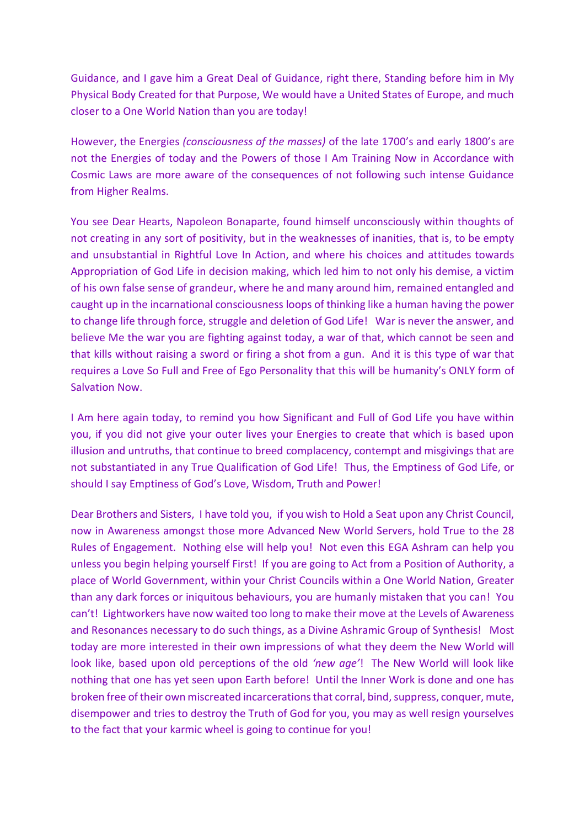Guidance, and I gave him a Great Deal of Guidance, right there, Standing before him in My Physical Body Created for that Purpose, We would have a United States of Europe, and much closer to a One World Nation than you are today!

However, the Energies *(consciousness of the masses)* of the late 1700's and early 1800's are not the Energies of today and the Powers of those I Am Training Now in Accordance with Cosmic Laws are more aware of the consequences of not following such intense Guidance from Higher Realms.

You see Dear Hearts, Napoleon Bonaparte, found himself unconsciously within thoughts of not creating in any sort of positivity, but in the weaknesses of inanities, that is, to be empty and unsubstantial in Rightful Love In Action, and where his choices and attitudes towards Appropriation of God Life in decision making, which led him to not only his demise, a victim of his own false sense of grandeur, where he and many around him, remained entangled and caught up in the incarnational consciousness loops of thinking like a human having the power to change life through force, struggle and deletion of God Life! War is never the answer, and believe Me the war you are fighting against today, a war of that, which cannot be seen and that kills without raising a sword or firing a shot from a gun. And it is this type of war that requires a Love So Full and Free of Ego Personality that this will be humanity's ONLY form of Salvation Now.

I Am here again today, to remind you how Significant and Full of God Life you have within you, if you did not give your outer lives your Energies to create that which is based upon illusion and untruths, that continue to breed complacency, contempt and misgivings that are not substantiated in any True Qualification of God Life! Thus, the Emptiness of God Life, or should I say Emptiness of God's Love, Wisdom, Truth and Power!

Dear Brothers and Sisters, I have told you, if you wish to Hold a Seat upon any Christ Council, now in Awareness amongst those more Advanced New World Servers, hold True to the 28 Rules of Engagement. Nothing else will help you! Not even this EGA Ashram can help you unless you begin helping yourself First! If you are going to Act from a Position of Authority, a place of World Government, within your Christ Councils within a One World Nation, Greater than any dark forces or iniquitous behaviours, you are humanly mistaken that you can! You can't! Lightworkers have now waited too long to make their move at the Levels of Awareness and Resonances necessary to do such things, as a Divine Ashramic Group of Synthesis! Most today are more interested in their own impressions of what they deem the New World will look like, based upon old perceptions of the old *'new age'*! The New World will look like nothing that one has yet seen upon Earth before! Until the Inner Work is done and one has broken free of their own miscreated incarcerations that corral, bind, suppress, conquer, mute, disempower and tries to destroy the Truth of God for you, you may as well resign yourselves to the fact that your karmic wheel is going to continue for you!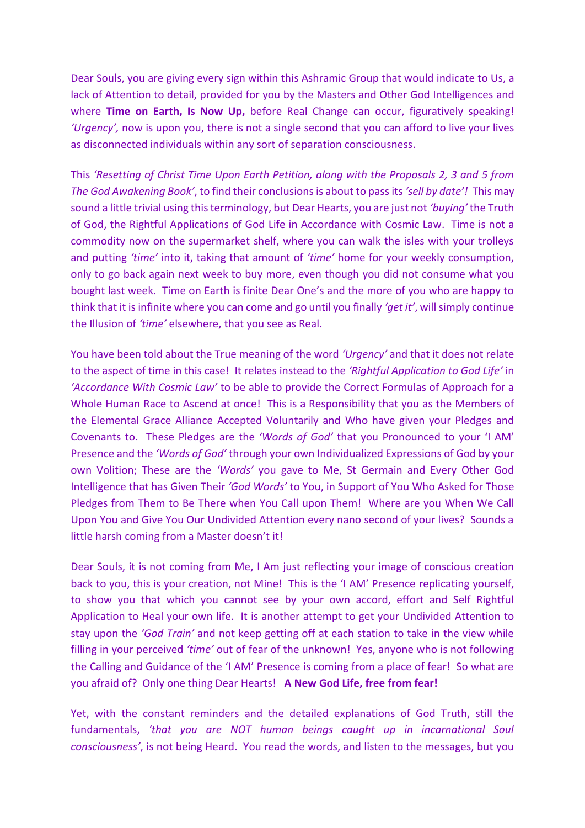Dear Souls, you are giving every sign within this Ashramic Group that would indicate to Us, a lack of Attention to detail, provided for you by the Masters and Other God Intelligences and where **Time on Earth, Is Now Up,** before Real Change can occur, figuratively speaking! *'Urgency',* now is upon you, there is not a single second that you can afford to live your lives as disconnected individuals within any sort of separation consciousness.

This *'Resetting of Christ Time Upon Earth Petition, along with the Proposals 2, 3 and 5 from The God Awakening Book'*, to find their conclusionsis about to pass its *'sell by date'!* This may sound a little trivial using this terminology, but Dear Hearts, you are just not *'buying'* the Truth of God, the Rightful Applications of God Life in Accordance with Cosmic Law. Time is not a commodity now on the supermarket shelf, where you can walk the isles with your trolleys and putting *'time'* into it, taking that amount of *'time'* home for your weekly consumption, only to go back again next week to buy more, even though you did not consume what you bought last week. Time on Earth is finite Dear One's and the more of you who are happy to think that it is infinite where you can come and go until you finally *'get it'*, will simply continue the Illusion of *'time'* elsewhere, that you see as Real.

You have been told about the True meaning of the word *'Urgency'* and that it does not relate to the aspect of time in this case! It relates instead to the *'Rightful Application to God Life'* in *'Accordance With Cosmic Law'* to be able to provide the Correct Formulas of Approach for a Whole Human Race to Ascend at once! This is a Responsibility that you as the Members of the Elemental Grace Alliance Accepted Voluntarily and Who have given your Pledges and Covenants to. These Pledges are the *'Words of God'* that you Pronounced to your 'I AM' Presence and the *'Words of God'* through your own Individualized Expressions of God by your own Volition; These are the *'Words'* you gave to Me, St Germain and Every Other God Intelligence that has Given Their *'God Words'* to You, in Support of You Who Asked for Those Pledges from Them to Be There when You Call upon Them! Where are you When We Call Upon You and Give You Our Undivided Attention every nano second of your lives? Sounds a little harsh coming from a Master doesn't it!

Dear Souls, it is not coming from Me, I Am just reflecting your image of conscious creation back to you, this is your creation, not Mine! This is the 'I AM' Presence replicating yourself, to show you that which you cannot see by your own accord, effort and Self Rightful Application to Heal your own life. It is another attempt to get your Undivided Attention to stay upon the *'God Train'* and not keep getting off at each station to take in the view while filling in your perceived *'time'* out of fear of the unknown! Yes, anyone who is not following the Calling and Guidance of the 'I AM' Presence is coming from a place of fear! So what are you afraid of? Only one thing Dear Hearts! **A New God Life, free from fear!**

Yet, with the constant reminders and the detailed explanations of God Truth, still the fundamentals, *'that you are NOT human beings caught up in incarnational Soul consciousness'*, is not being Heard. You read the words, and listen to the messages, but you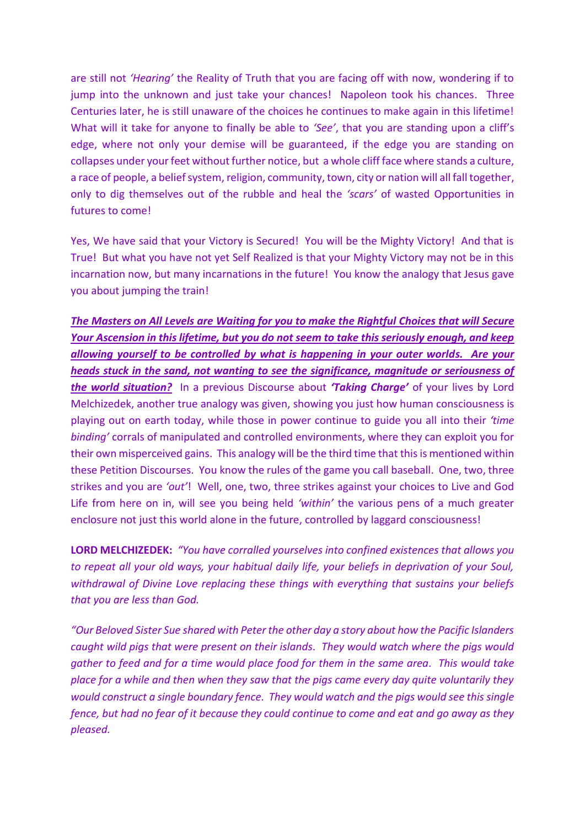are still not *'Hearing'* the Reality of Truth that you are facing off with now, wondering if to jump into the unknown and just take your chances! Napoleon took his chances. Three Centuries later, he is still unaware of the choices he continues to make again in this lifetime! What will it take for anyone to finally be able to *'See'*, that you are standing upon a cliff's edge, where not only your demise will be guaranteed, if the edge you are standing on collapses under your feet without further notice, but a whole cliff face where stands a culture, a race of people, a belief system, religion, community, town, city or nation will all fall together, only to dig themselves out of the rubble and heal the *'scars'* of wasted Opportunities in futures to come!

Yes, We have said that your Victory is Secured! You will be the Mighty Victory! And that is True! But what you have not yet Self Realized is that your Mighty Victory may not be in this incarnation now, but many incarnations in the future! You know the analogy that Jesus gave you about jumping the train!

*The Masters on All Levels are Waiting for you to make the Rightful Choices that will Secure Your Ascension in this lifetime, but you do not seem to take this seriously enough, and keep allowing yourself to be controlled by what is happening in your outer worlds. Are your heads stuck in the sand, not wanting to see the significance, magnitude or seriousness of the world situation?* In a previous Discourse about *'Taking Charge'* of your lives by Lord Melchizedek, another true analogy was given, showing you just how human consciousness is playing out on earth today, while those in power continue to guide you all into their *'time binding'* corrals of manipulated and controlled environments, where they can exploit you for their own misperceived gains. This analogy will be the third time that this is mentioned within these Petition Discourses. You know the rules of the game you call baseball. One, two, three strikes and you are *'out'*! Well, one, two, three strikes against your choices to Live and God Life from here on in, will see you being held *'within'* the various pens of a much greater enclosure not just this world alone in the future, controlled by laggard consciousness!

**LORD MELCHIZEDEK:** *"You have corralled yourselves into confined existences that allows you to repeat all your old ways, your habitual daily life, your beliefs in deprivation of your Soul, withdrawal of Divine Love replacing these things with everything that sustains your beliefs that you are less than God.*

*"Our Beloved Sister Sue shared with Peter the other day a story about how the Pacific Islanders caught wild pigs that were present on their islands. They would watch where the pigs would gather to feed and for a time would place food for them in the same area. This would take place for a while and then when they saw that the pigs came every day quite voluntarily they would construct a single boundary fence. They would watch and the pigs would see this single fence, but had no fear of it because they could continue to come and eat and go away as they pleased.*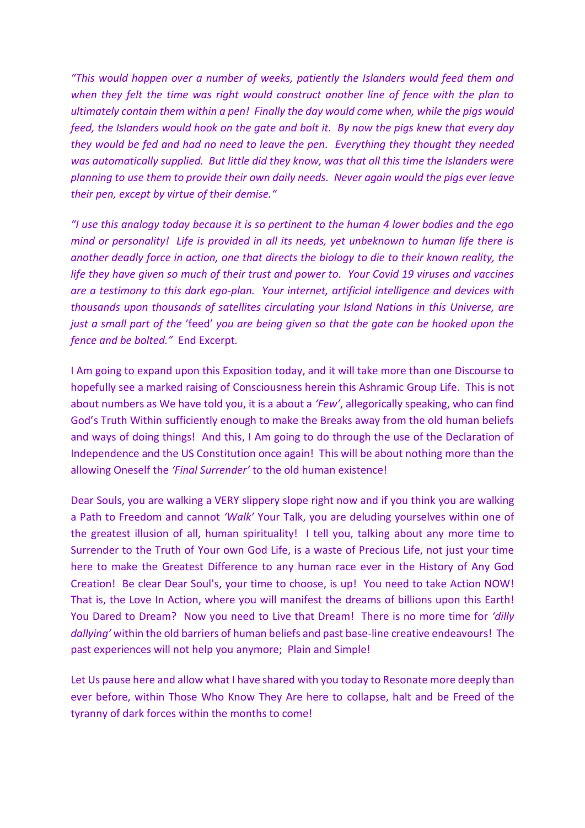*"This would happen over a number of weeks, patiently the Islanders would feed them and when they felt the time was right would construct another line of fence with the plan to ultimately contain them within a pen! Finally the day would come when, while the pigs would feed, the Islanders would hook on the gate and bolt it. By now the pigs knew that every day they would be fed and had no need to leave the pen. Everything they thought they needed was automatically supplied. But little did they know, was that all this time the Islanders were planning to use them to provide their own daily needs. Never again would the pigs ever leave their pen, except by virtue of their demise."*

*"I use this analogy today because it is so pertinent to the human 4 lower bodies and the ego mind or personality! Life is provided in all its needs, yet unbeknown to human life there is another deadly force in action, one that directs the biology to die to their known reality, the life they have given so much of their trust and power to. Your Covid 19 viruses and vaccines are a testimony to this dark ego-plan. Your internet, artificial intelligence and devices with thousands upon thousands of satellites circulating your Island Nations in this Universe, are just a small part of the* 'feed' *you are being given so that the gate can be hooked upon the fence and be bolted."* End Excerpt*.*

I Am going to expand upon this Exposition today, and it will take more than one Discourse to hopefully see a marked raising of Consciousness herein this Ashramic Group Life. This is not about numbers as We have told you, it is a about a *'Few'*, allegorically speaking, who can find God's Truth Within sufficiently enough to make the Breaks away from the old human beliefs and ways of doing things! And this, I Am going to do through the use of the Declaration of Independence and the US Constitution once again! This will be about nothing more than the allowing Oneself the *'Final Surrender'* to the old human existence!

Dear Souls, you are walking a VERY slippery slope right now and if you think you are walking a Path to Freedom and cannot *'Walk'* Your Talk, you are deluding yourselves within one of the greatest illusion of all, human spirituality! I tell you, talking about any more time to Surrender to the Truth of Your own God Life, is a waste of Precious Life, not just your time here to make the Greatest Difference to any human race ever in the History of Any God Creation! Be clear Dear Soul's, your time to choose, is up! You need to take Action NOW! That is, the Love In Action, where you will manifest the dreams of billions upon this Earth! You Dared to Dream? Now you need to Live that Dream! There is no more time for *'dilly dallying'* within the old barriers of human beliefs and past base-line creative endeavours! The past experiences will not help you anymore; Plain and Simple!

Let Us pause here and allow what I have shared with you today to Resonate more deeply than ever before, within Those Who Know They Are here to collapse, halt and be Freed of the tyranny of dark forces within the months to come!